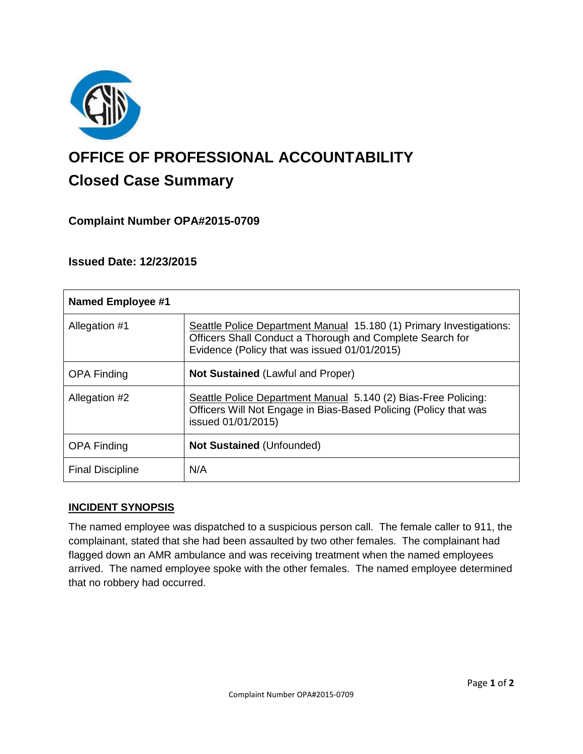

# **OFFICE OF PROFESSIONAL ACCOUNTABILITY Closed Case Summary**

# **Complaint Number OPA#2015-0709**

**Issued Date: 12/23/2015**

| <b>Named Employee #1</b> |                                                                                                                                                                                  |
|--------------------------|----------------------------------------------------------------------------------------------------------------------------------------------------------------------------------|
| Allegation #1            | Seattle Police Department Manual 15.180 (1) Primary Investigations:<br>Officers Shall Conduct a Thorough and Complete Search for<br>Evidence (Policy that was issued 01/01/2015) |
| <b>OPA Finding</b>       | <b>Not Sustained (Lawful and Proper)</b>                                                                                                                                         |
| Allegation #2            | Seattle Police Department Manual 5.140 (2) Bias-Free Policing:<br>Officers Will Not Engage in Bias-Based Policing (Policy that was<br>issued 01/01/2015)                         |
| <b>OPA Finding</b>       | <b>Not Sustained (Unfounded)</b>                                                                                                                                                 |
| <b>Final Discipline</b>  | N/A                                                                                                                                                                              |

## **INCIDENT SYNOPSIS**

The named employee was dispatched to a suspicious person call. The female caller to 911, the complainant, stated that she had been assaulted by two other females. The complainant had flagged down an AMR ambulance and was receiving treatment when the named employees arrived. The named employee spoke with the other females. The named employee determined that no robbery had occurred.